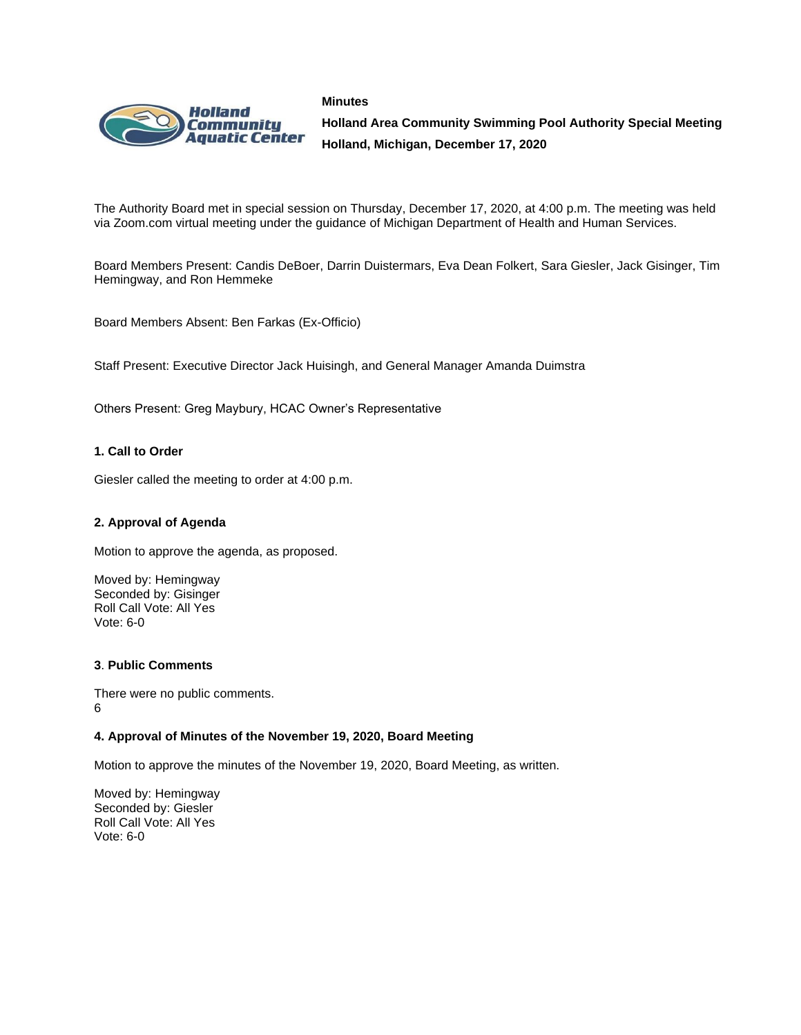



**Holland Area Community Swimming Pool Authority Special Meeting Holland, Michigan, December 17, 2020**

The Authority Board met in special session on Thursday, December 17, 2020, at 4:00 p.m. The meeting was held via Zoom.com virtual meeting under the guidance of Michigan Department of Health and Human Services.

Board Members Present: Candis DeBoer, Darrin Duistermars, Eva Dean Folkert, Sara Giesler, Jack Gisinger, Tim Hemingway, and Ron Hemmeke

Board Members Absent: Ben Farkas (Ex-Officio)

Staff Present: Executive Director Jack Huisingh, and General Manager Amanda Duimstra

Others Present: Greg Maybury, HCAC Owner's Representative

### **1. Call to Order**

Giesler called the meeting to order at 4:00 p.m.

#### **2. Approval of Agenda**

Motion to approve the agenda, as proposed.

Moved by: Hemingway Seconded by: Gisinger Roll Call Vote: All Yes Vote: 6-0

#### **3**. **Public Comments**

There were no public comments. 6

#### **4. Approval of Minutes of the November 19, 2020, Board Meeting**

Motion to approve the minutes of the November 19, 2020, Board Meeting, as written.

Moved by: Hemingway Seconded by: Giesler Roll Call Vote: All Yes Vote: 6-0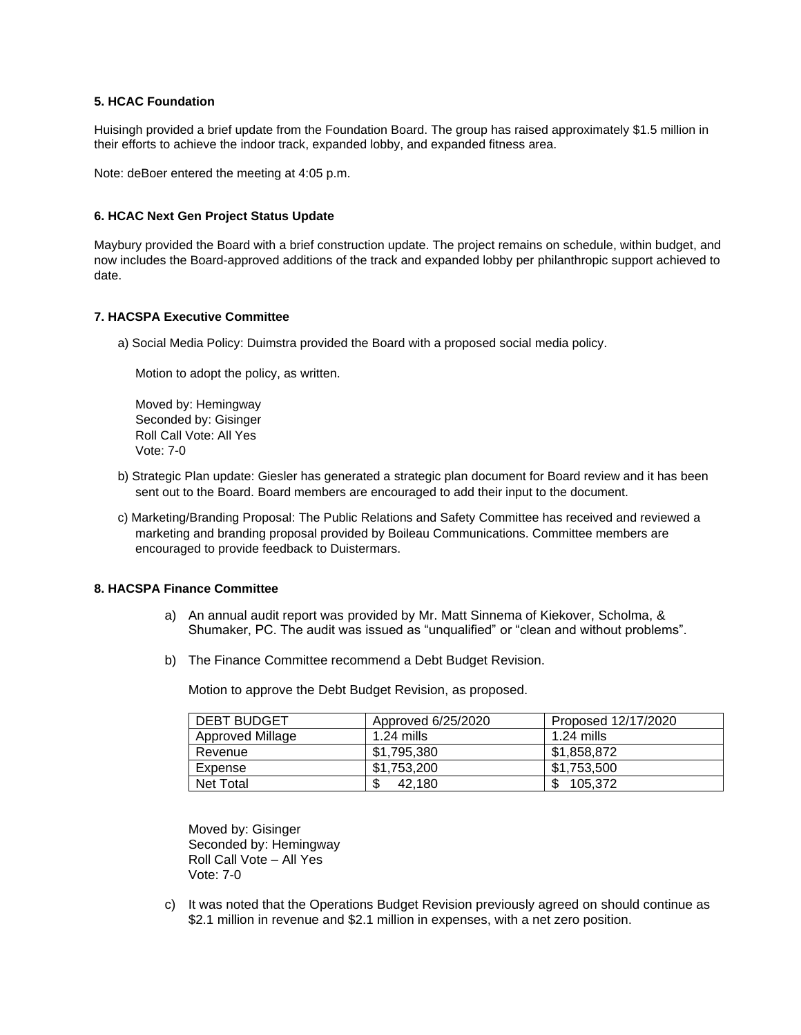## **5. HCAC Foundation**

Huisingh provided a brief update from the Foundation Board. The group has raised approximately \$1.5 million in their efforts to achieve the indoor track, expanded lobby, and expanded fitness area.

Note: deBoer entered the meeting at 4:05 p.m.

#### **6. HCAC Next Gen Project Status Update**

Maybury provided the Board with a brief construction update. The project remains on schedule, within budget, and now includes the Board-approved additions of the track and expanded lobby per philanthropic support achieved to date.

#### **7. HACSPA Executive Committee**

a) Social Media Policy: Duimstra provided the Board with a proposed social media policy.

Motion to adopt the policy, as written.

Moved by: Hemingway Seconded by: Gisinger Roll Call Vote: All Yes Vote: 7-0

- b) Strategic Plan update: Giesler has generated a strategic plan document for Board review and it has been sent out to the Board. Board members are encouraged to add their input to the document.
- c) Marketing/Branding Proposal: The Public Relations and Safety Committee has received and reviewed a marketing and branding proposal provided by Boileau Communications. Committee members are encouraged to provide feedback to Duistermars.

#### **8. HACSPA Finance Committee**

- a) An annual audit report was provided by Mr. Matt Sinnema of Kiekover, Scholma, & Shumaker, PC. The audit was issued as "unqualified" or "clean and without problems".
- b) The Finance Committee recommend a Debt Budget Revision.

Motion to approve the Debt Budget Revision, as proposed.

| <b>DEBT BUDGET</b> | Approved 6/25/2020 | Proposed 12/17/2020 |
|--------------------|--------------------|---------------------|
| Approved Millage   | $1.24$ mills       | $1.24$ mills        |
| Revenue            | \$1.795.380        | \$1.858.872         |
| Expense            | \$1.753.200        | \$1.753.500         |
| Net Total          | \$<br>42.180       | 105.372<br>ጦ        |

Moved by: Gisinger Seconded by: Hemingway Roll Call Vote – All Yes Vote: 7-0

c) It was noted that the Operations Budget Revision previously agreed on should continue as \$2.1 million in revenue and \$2.1 million in expenses, with a net zero position.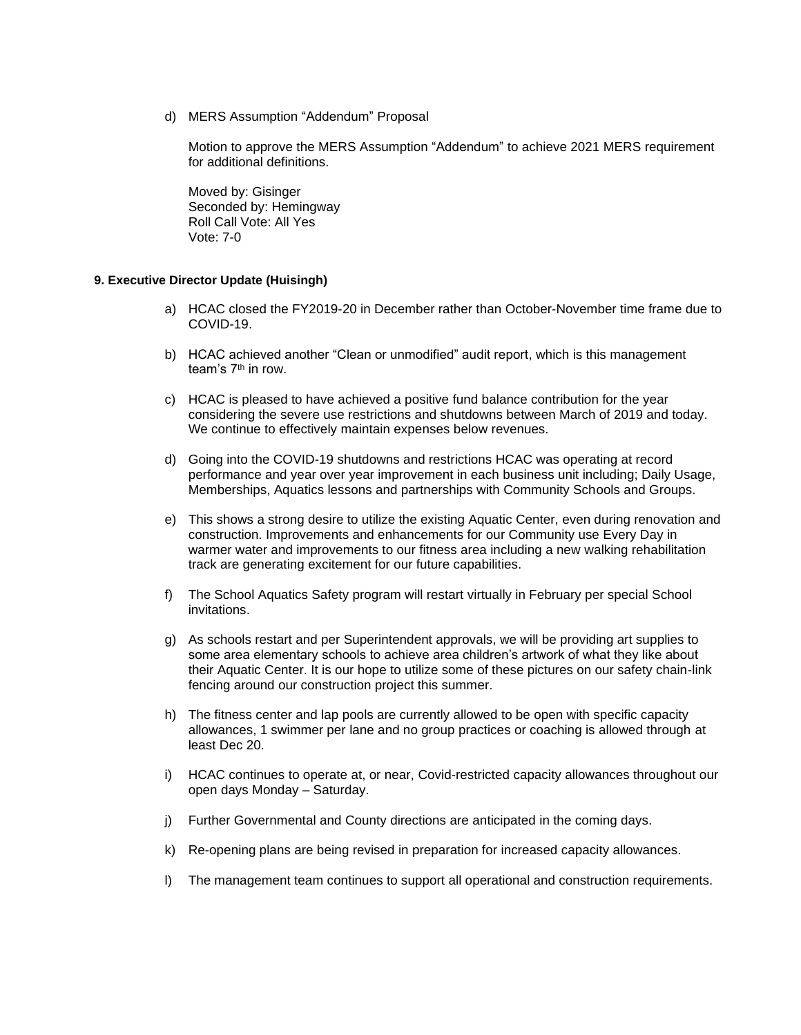d) MERS Assumption "Addendum" Proposal

Motion to approve the MERS Assumption "Addendum" to achieve 2021 MERS requirement for additional definitions.

Moved by: Gisinger Seconded by: Hemingway Roll Call Vote: All Yes Vote: 7-0

## **9. Executive Director Update (Huisingh)**

- a) HCAC closed the FY2019-20 in December rather than October-November time frame due to COVID-19.
- b) HCAC achieved another "Clean or unmodified" audit report, which is this management team's  $7<sup>th</sup>$  in row.
- c) HCAC is pleased to have achieved a positive fund balance contribution for the year considering the severe use restrictions and shutdowns between March of 2019 and today. We continue to effectively maintain expenses below revenues.
- d) Going into the COVID-19 shutdowns and restrictions HCAC was operating at record performance and year over year improvement in each business unit including; Daily Usage, Memberships, Aquatics lessons and partnerships with Community Schools and Groups.
- e) This shows a strong desire to utilize the existing Aquatic Center, even during renovation and construction. Improvements and enhancements for our Community use Every Day in warmer water and improvements to our fitness area including a new walking rehabilitation track are generating excitement for our future capabilities.
- f) The School Aquatics Safety program will restart virtually in February per special School invitations.
- g) As schools restart and per Superintendent approvals, we will be providing art supplies to some area elementary schools to achieve area children's artwork of what they like about their Aquatic Center. It is our hope to utilize some of these pictures on our safety chain-link fencing around our construction project this summer.
- h) The fitness center and lap pools are currently allowed to be open with specific capacity allowances, 1 swimmer per lane and no group practices or coaching is allowed through at least Dec 20.
- i) HCAC continues to operate at, or near, Covid-restricted capacity allowances throughout our open days Monday – Saturday.
- j) Further Governmental and County directions are anticipated in the coming days.
- k) Re-opening plans are being revised in preparation for increased capacity allowances.
- l) The management team continues to support all operational and construction requirements.